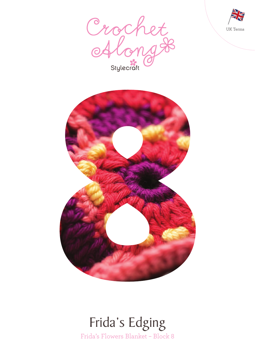





## Frida's Flowers Blanket – Block 8 Frida's Edging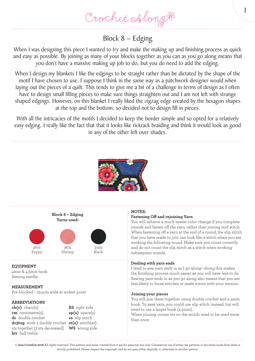Crochet Along &

### Block 8 – Edging

When I was designing this piece I wanted to try and make the making up and finishing process as quick and easy as possible. By joining as many of your blocks together as you can as you go along means that you don't have a massive making up job to do, but you do need to add the edging.

When I design my blankets I like the edgings to be straight rather than be dictated by the shape of the motif I have chosen to use. I suppose I think in the same way as a patchwork designer would when laying out the pieces of a quilt. This tends to give me a bit of a challenge in terms of design as I often have to design small filling pieces to make sure things straighten out and I am not left with strange shaped edgings. However, on this blanket I really liked the zigzag edge created by the hexagon shapes at the top and the bottom, so decided not to design fill in pieces.

With all the intricacies of the motifs I decided to keep the border simple and so opted for a relatively easy edging. I really like the fact that that it looks like rickrack braiding and think it would look as good in any of the other left over shades.





Shrimp

**EQUIPMENT**

4mm & 4.5mm hook Sewing needle

Poppy

#### **MEASUREMENT**

Pre blocked – 19.5cm wide at widest point

#### **ABBREVIATIONS**

**ch(s)** chain(s) **cm** centimetre(s) **dc** double crochet **dc3tog** work 3 double crochet **st(s)** stitch(es) sts together (2 sts decreased) **WS** wrong side **htr** half treble

**RS** right side **sp(s)** space(s) **ss** slip stitch

#### **NOTES:**

#### **Fastening Off and rejoining Yarn**

You will achieve a much neater color change if you complete rounds and fasten off the yarn, rather than joining mid stitch. When fastening off a yarn at the end of a round, the slip stitch that you have made to join can look like a stitch when you are working the following round. Make sure you count correctly and do not count the slip stitch as a stitch when working subsequent rounds.

1

#### **Dealing with yarn ends**

I tend to sew yarn ends in as I go along—doing this makes the finishing process much easier as you will have less to do. Sewing yarn ends in as you go along also means that you are less likely to loose stitches or make errors with your tension.

#### **Joining your pieces**

You will join them together using double crochet and a 4mm hook. To save yarn, you could use slip stitch instead, but will need to use a larger hook (4.5mm).

When joining, corner sts on the motifs need to be used more than once.

**© Jane Crowfoot 2018** All rights reserved. This pattern and items created from it are for personal use only. Commercial use of either the patterns or the items made from them is strictly prohibited. Please respect the copyright and do not pass either digitally or otherwise to another person.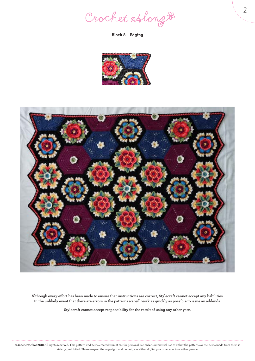Crochet Along #

**Block 8 – Edging**





**Although every effort has been made to ensure that instructions are correct, Stylecraft cannot accept any liabilities. In the unlikely event that there are errors in the patterns we will work as quickly as possible to issue an addenda.**

**Stylecraft cannot accept responsibility for the result of using any other yarn.**

**© Jane Crowfoot 2018** All rights reserved. This pattern and items created from it are for personal use only. Commercial use of either the patterns or the items made from them is strictly prohibited. Please respect the copyright and do not pass either digitally or otherwise to another person.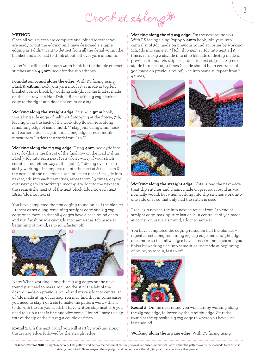# Crochet Along &

#### **METHOD**

Once all your pieces are complete and joined together you are ready to put the edging on. I have designed a simple edging as I didn't want to detract from all the detail within the blanket and also had to think about left over yarn amounts.

Note: You will need to use a 4mm hook for the double crochet stitches and a **4.5mm** hook for the slip stitches.

**Foundation round along the edge:** With RS facing using Black & **4.5mm** hook, join yarn into last st made at top left blanket corner block by working 1ch (this is the final st made on the last row of a Half Dahlia Block with zig zag blanket edge to the right and does not count as a st)

**Working along the straight edge:** \* using **4.5mm** hook, 16ss along side edge of half motif stopping at the flower, 7ch, leaving ch at the back of the work skip flower, 16ss along remaining edge of same motif, \*\* skip join, using 4mm hook and corner stitches again 21dc along edge of next motif; repeat from \* twice then work from \* to \*\*

**Working along the zig zag edge:** Using **4mm** hook 3dc into next dc (this is the first st of the final row on the Half Dahlia Block), 1dc into each next 18sts (don't worry if your stitch count is 1 out either way at this point), \* dc3tog over next 3 sts by working 1 incomplete dc into the next st & the seam & the next st of the next block, 1dc into each next 18sts, 3dc into next st, 1dc into each next 18sts; repeat from \* 3 times, dc3tog over next 3 sts by working 1 incomplete dc into the next st & the seam & the next st of the next block, 1dc into each next 18sts, 3dc into next st

You have completed the first edging round on half the blanket – repeat as set along remaining straight edge and zig zag edge once more so that all 4 edges have a base round of sts and you finish by working 3dc into same st as 1ch made at beginning of round, ss to join, fasten off.



Note: When working along the zig zag edges on the next round you need to make 1dc into the st to the left of the dc3tog made on previous round and make 3dc into central st of 3dc made at tip of zig zag. You may find that in some cases you need to skip 1 or 2 sts to make the pattern work – this is to do with the sts you used. If I have written skip next st & you need to skip 2 that is fine and vice versa. I found I have to skip 2sts at the tip of the zig zag a couple of times

**Round 1:** On the next round you will start by working along the zig zag edge, followed by the straight edge

**Working along the zig zag edge:** On the next round you With RS facing using Poppy & **4mm** hook, join yarn into central st of 3dc made on previous round at corner by working 1ch, 1dc into same st, \* [1ch, skip next st, 1dc into next st] 9 times, 1ch, skip 2 sts, 1dc into st to left side of dc3tog made on previous round, 1ch, skip 2sts, 1dc into next st, [1ch, skip next st, 1dc into next st] 9 times (last dc should be in central st of 3dc made on previous round), 2dc into same st; repeat from \* 4 times,







**Working along the straight edge:** Note: along the next edge treat slip stitches and chains made on previous round as you normally would, but when working into slip stitches work into one side of ss so that only half the stitch is used

\* 1ch, skip next st, 1dc into next st; repeat from \* to end of straight edge, making sure last dc is in central st of 3dc made at corner on previous round, 2dc into same st

You have completed the edging round on half the blanket – repeat as set along remaining zig zag edge and straight edge once more so that all 4 edges have a base round of sts and you finish by working 2dc into same st as 1dc made at beginning of round, ss to join, fasten off.



**Round 2:** On the next round you will start by working along the zig zag edge, followed by the straight edge. Start the round at the opposite zig zag edge to where you have just fastened off

**Working along the zig zag edge:** With RS facing using

**<sup>©</sup> Jane Crowfoot 2018** All rights reserved. This pattern and items created from it are for personal use only. Commercial use of either the patterns or the items made from them is strictly prohibited. Please respect the copyright and do not pass either digitally or otherwise to another person.